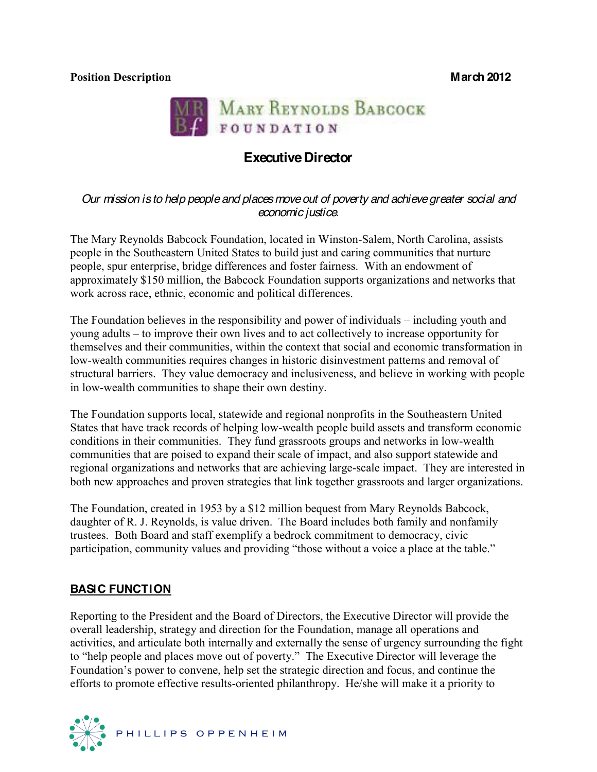

# **Executive Director**

#### *Our mission is to help people and places move out of poverty and achieve greater social and economic justice.*

The Mary Reynolds Babcock Foundation, located in Winston-Salem, North Carolina, assists people in the Southeastern United States to build just and caring communities that nurture people, spur enterprise, bridge differences and foster fairness. With an endowment of approximately \$150 million, the Babcock Foundation supports organizations and networks that work across race, ethnic, economic and political differences.

The Foundation believes in the responsibility and power of individuals  $-$  including youth and young adults – to improve their own lives and to act collectively to increase opportunity for themselves and their communities, within the context that social and economic transformation in low-wealth communities requires changes in historic disinvestment patterns and removal of structural barriers. They value democracy and inclusiveness, and believe in working with people in low-wealth communities to shape their own destiny.

The Foundation supports local, statewide and regional nonprofits in the Southeastern United States that have track records of helping low-wealth people build assets and transform economic conditions in their communities. They fund grassroots groups and networks in low-wealth communities that are poised to expand their scale of impact, and also support statewide and regional organizations and networks that are achieving large-scale impact. They are interested in both new approaches and proven strategies that link together grassroots and larger organizations.

The Foundation, created in 1953 by a \$12 million bequest from Mary Reynolds Babcock, daughter of R. J. Reynolds, is value driven. The Board includes both family and nonfamily trustees. Both Board and staff exemplify a bedrock commitment to democracy, civic participation, community values and providing "those without a voice a place at the table."

### **BASIC FUNCTION**

Reporting to the President and the Board of Directors, the Executive Director will provide the overall leadership, strategy and direction for the Foundation, manage all operations and activities, and articulate both internally and externally the sense of urgency surrounding the fight to "help people and places move out of poverty." The Executive Director will leverage the Foundation's power to convene, help set the strategic direction and focus, and continue the efforts to promote effective results-oriented philanthropy. He/she will make it a priority to

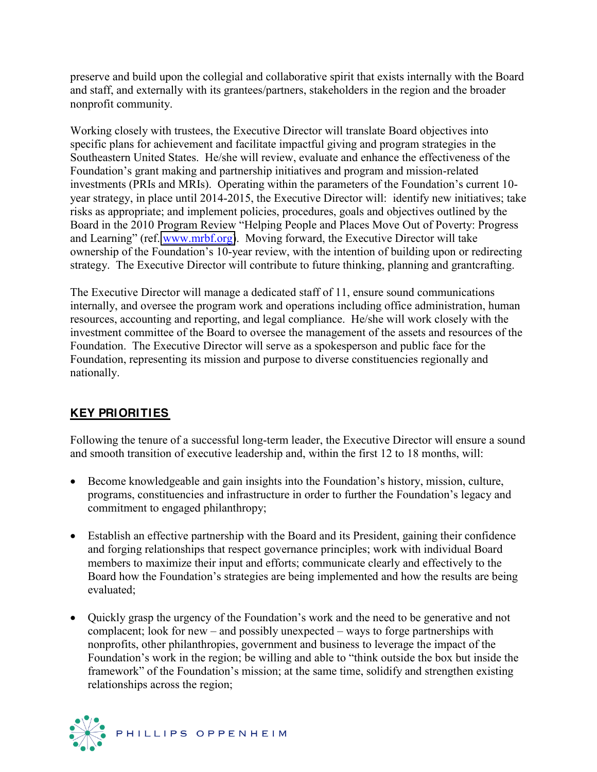preserve and build upon the collegial and collaborative spirit that exists internally with the Board and staff, and externally with its grantees/partners, stakeholders in the region and the broader nonprofit community.

Working closely with trustees, the Executive Director will translate Board objectives into specific plans for achievement and facilitate impactful giving and program strategies in the Southeastern United States. He/she will review, evaluate and enhance the effectiveness of the Foundation's grant making and partnership initiatives and program and mission-related investments (PRIs and MRIs). Operating within the parameters of the Foundation's current 10year strategy, in place until 2014-2015, the Executive Director will: identify new initiatives; take risks as appropriate; and implement policies, procedures, goals and objectives outlined by the Board in the 2010 Program Review "Helping People and Places Move Out of Poverty: Progress and Learning" (ref. [www.mrbf.org\)](http://www.mrbf.org/). Moving forward, the Executive Director will take ownership of the Foundation's 10-year review, with the intention of building upon or redirecting strategy. The Executive Director will contribute to future thinking, planning and grantcrafting.

The Executive Director will manage a dedicated staff of 11, ensure sound communications internally, and oversee the program work and operations including office administration, human resources, accounting and reporting, and legal compliance. He/she will work closely with the investment committee of the Board to oversee the management of the assets and resources of the Foundation. The Executive Director will serve as a spokesperson and public face for the Foundation, representing its mission and purpose to diverse constituencies regionally and nationally.

## **KEY PRIORITIES**

Following the tenure of a successful long-term leader, the Executive Director will ensure a sound and smooth transition of executive leadership and, within the first 12 to 18 months, will:

- Become knowledgeable and gain insights into the Foundation's history, mission, culture, programs, constituencies and infrastructure in order to further the Foundation's legacy and commitment to engaged philanthropy;
- Establish an effective partnership with the Board and its President, gaining their confidence and forging relationships that respect governance principles; work with individual Board members to maximize their input and efforts; communicate clearly and effectively to the Board how the Foundation's strategies are being implemented and how the results are being evaluated;
- Quickly grasp the urgency of the Foundation's work and the need to be generative and not complacent; look for new  $-\text{ and possibly unexpected} - \text{ways to forge partnerships with}$ nonprofits, other philanthropies, government and business to leverage the impact of the Foundation's work in the region; be willing and able to "think outside the box but inside the framework" of the Foundation's mission; at the same time, solidify and strengthen existing relationships across the region;

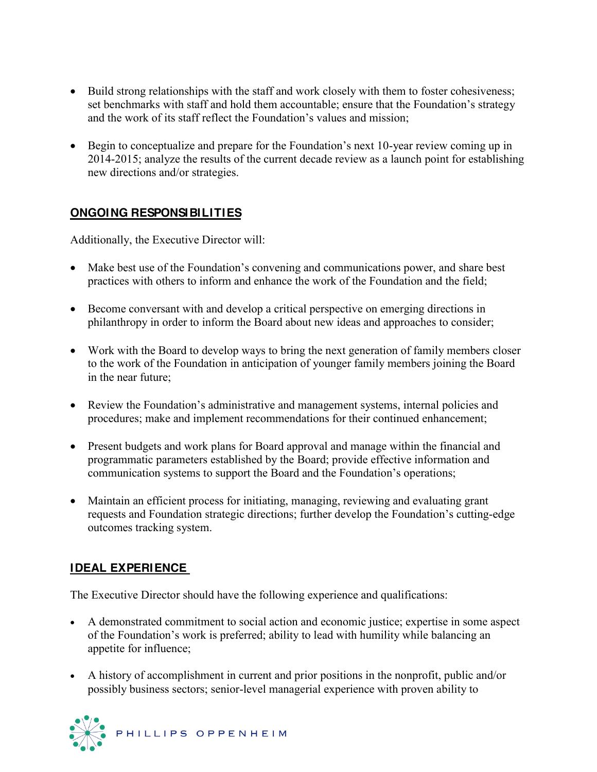- Build strong relationships with the staff and work closely with them to foster cohesiveness; set benchmarks with staff and hold them accountable; ensure that the Foundation's strategy and the work of its staff reflect the Foundation's values and mission;
- $\bullet$  Begin to conceptualize and prepare for the Foundation's next 10-year review coming up in 2014-2015; analyze the results of the current decade review as a launch point for establishing new directions and/or strategies.

## **ONGOING RESPONSIBILITIES**

Additionally, the Executive Director will:

- Make best use of the Foundation's convening and communications power, and share best practices with others to inform and enhance the work of the Foundation and the field;
- Become conversant with and develop a critical perspective on emerging directions in philanthropy in order to inform the Board about new ideas and approaches to consider;
- Work with the Board to develop ways to bring the next generation of family members closer to the work of the Foundation in anticipation of younger family members joining the Board in the near future;
- Review the Foundation's administrative and management systems, internal policies and procedures; make and implement recommendations for their continued enhancement;
- Present budgets and work plans for Board approval and manage within the financial and programmatic parameters established by the Board; provide effective information and communication systems to support the Board and the Foundation's operations;
- Maintain an efficient process for initiating, managing, reviewing and evaluating grant requests and Foundation strategic directions; further develop the Foundation's cutting-edge outcomes tracking system.

## **IDEAL EXPERIENCE**

The Executive Director should have the following experience and qualifications:

- x A demonstrated commitment to social action and economic justice; expertise in some aspect of the Foundation's work is preferred; ability to lead with humility while balancing an appetite for influence;
- A history of accomplishment in current and prior positions in the nonprofit, public and/or possibly business sectors; senior-level managerial experience with proven ability to

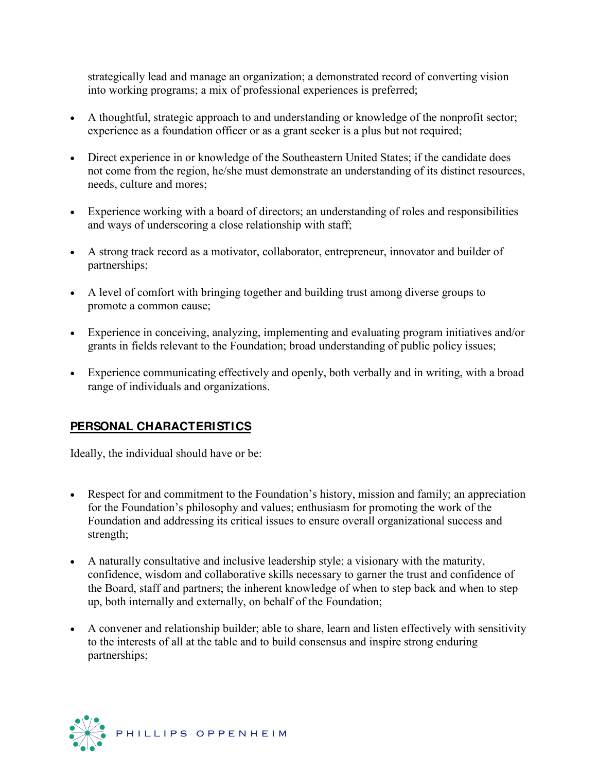strategically lead and manage an organization; a demonstrated record of converting vision into working programs; a mix of professional experiences is preferred;

- A thoughtful, strategic approach to and understanding or knowledge of the nonprofit sector; experience as a foundation officer or as a grant seeker is a plus but not required;
- Direct experience in or knowledge of the Southeastern United States; if the candidate does not come from the region, he/she must demonstrate an understanding of its distinct resources, needs, culture and mores;
- Experience working with a board of directors; an understanding of roles and responsibilities and ways of underscoring a close relationship with staff;
- A strong track record as a motivator, collaborator, entrepreneur, innovator and builder of partnerships;
- A level of comfort with bringing together and building trust among diverse groups to promote a common cause;
- Experience in conceiving, analyzing, implementing and evaluating program initiatives and/or grants in fields relevant to the Foundation; broad understanding of public policy issues;
- Experience communicating effectively and openly, both verbally and in writing, with a broad range of individuals and organizations.

## **PERSONAL CHARACTERISTICS**

Ideally, the individual should have or be:

- Respect for and commitment to the Foundation's history, mission and family; an appreciation for the Foundation's philosophy and values; enthusiasm for promoting the work of the Foundation and addressing its critical issues to ensure overall organizational success and strength;
- A naturally consultative and inclusive leadership style; a visionary with the maturity, confidence, wisdom and collaborative skills necessary to garner the trust and confidence of the Board, staff and partners; the inherent knowledge of when to step back and when to step up, both internally and externally, on behalf of the Foundation;
- A convener and relationship builder; able to share, learn and listen effectively with sensitivity to the interests of all at the table and to build consensus and inspire strong enduring partnerships;